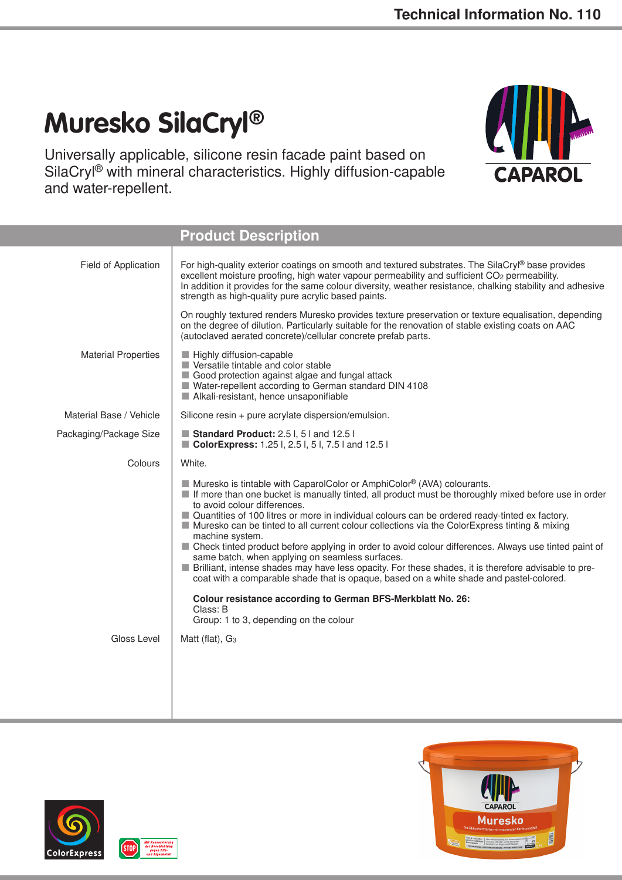APAR

## **Muresko SilaCryl®**

Universally applicable, silicone resin facade paint based on SilaCryl® with mineral characteristics. Highly diffusion-capable and water-repellent.







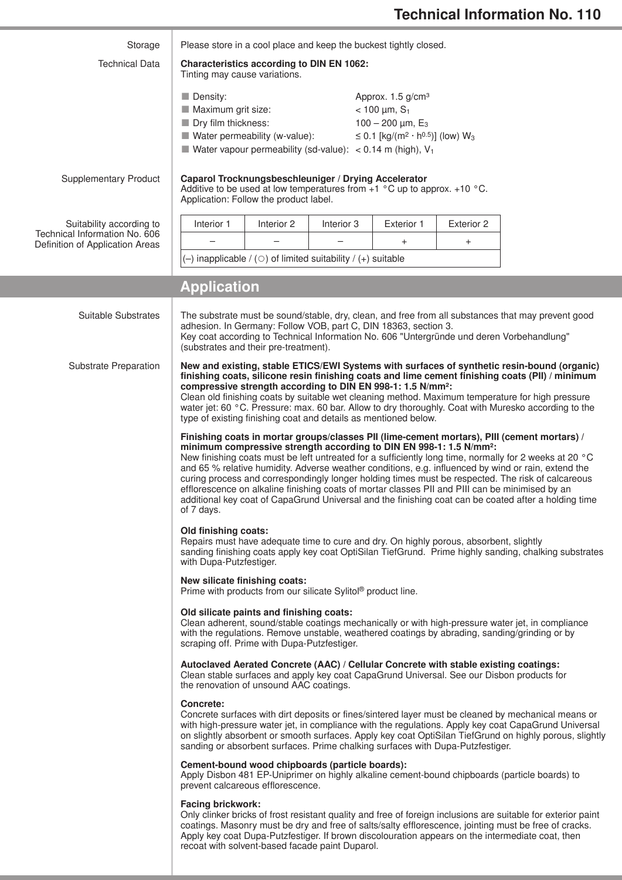| Storage                                                   | Please store in a cool place and keep the buckest tightly closed.                                                                                                                                                                                                           |            |                                                             |            |  |
|-----------------------------------------------------------|-----------------------------------------------------------------------------------------------------------------------------------------------------------------------------------------------------------------------------------------------------------------------------|------------|-------------------------------------------------------------|------------|--|
| <b>Technical Data</b>                                     | <b>Characteristics according to DIN EN 1062:</b>                                                                                                                                                                                                                            |            |                                                             |            |  |
|                                                           | Tinting may cause variations.                                                                                                                                                                                                                                               |            |                                                             |            |  |
|                                                           | Density:                                                                                                                                                                                                                                                                    |            | Approx. 1.5 g/cm <sup>3</sup>                               |            |  |
|                                                           | Maximum grit size:<br>Dry film thickness:                                                                                                                                                                                                                                   |            | $< 100 \mu m, S_1$<br>100 - 200 $\mu$ m, E <sub>3</sub>     |            |  |
|                                                           | $\blacksquare$ Water permeability (w-value):                                                                                                                                                                                                                                |            | ≤ 0.1 [kg/(m <sup>2</sup> · h <sup>0.5</sup> )] (low) $W_3$ |            |  |
|                                                           | ■ Water vapour permeability (sd-value): $\lt$ 0.14 m (high), V <sub>1</sub>                                                                                                                                                                                                 |            |                                                             |            |  |
| <b>Supplementary Product</b>                              | Caparol Trocknungsbeschleuniger / Drying Accelerator<br>Additive to be used at low temperatures from $+1$ °C up to approx. $+10$ °C.                                                                                                                                        |            |                                                             |            |  |
|                                                           | Application: Follow the product label.                                                                                                                                                                                                                                      |            |                                                             |            |  |
| Suitability according to<br>Technical Information No. 606 | Interior 1<br>Interior 2                                                                                                                                                                                                                                                    | Interior 3 | Exterior 1                                                  | Exterior 2 |  |
| Definition of Application Areas                           |                                                                                                                                                                                                                                                                             |            | $\ddot{}$                                                   | $\ddot{}$  |  |
|                                                           | $(-)$ inapplicable / ( $\circ$ ) of limited suitability / (+) suitable                                                                                                                                                                                                      |            |                                                             |            |  |
|                                                           | <b>Application</b>                                                                                                                                                                                                                                                          |            |                                                             |            |  |
| Suitable Substrates                                       | The substrate must be sound/stable, dry, clean, and free from all substances that may prevent good                                                                                                                                                                          |            |                                                             |            |  |
|                                                           | adhesion. In Germany: Follow VOB, part C, DIN 18363, section 3.                                                                                                                                                                                                             |            |                                                             |            |  |
|                                                           | Key coat according to Technical Information No. 606 "Untergründe und deren Vorbehandlung"<br>(substrates and their pre-treatment).                                                                                                                                          |            |                                                             |            |  |
| <b>Substrate Preparation</b>                              | New and existing, stable ETICS/EWI Systems with surfaces of synthetic resin-bound (organic)<br>finishing coats, silicone resin finishing coats and lime cement finishing coats (PII) / minimum                                                                              |            |                                                             |            |  |
|                                                           | compressive strength according to DIN EN 998-1: 1.5 N/mm <sup>2</sup> :                                                                                                                                                                                                     |            |                                                             |            |  |
|                                                           | Clean old finishing coats by suitable wet cleaning method. Maximum temperature for high pressure<br>water jet: 60 °C. Pressure: max. 60 bar. Allow to dry thoroughly. Coat with Muresko according to the<br>type of existing finishing coat and details as mentioned below. |            |                                                             |            |  |
|                                                           | Finishing coats in mortar groups/classes PII (lime-cement mortars), PIII (cement mortars) /                                                                                                                                                                                 |            |                                                             |            |  |
|                                                           | minimum compressive strength according to DIN EN 998-1: 1.5 N/mm <sup>2</sup> :<br>New finishing coats must be left untreated for a sufficiently long time, normally for 2 weeks at 20 °C                                                                                   |            |                                                             |            |  |
|                                                           | and 65 % relative humidity. Adverse weather conditions, e.g. influenced by wind or rain, extend the                                                                                                                                                                         |            |                                                             |            |  |
|                                                           | curing process and correspondingly longer holding times must be respected. The risk of calcareous<br>efflorescence on alkaline finishing coats of mortar classes PII and PIII can be minimised by an                                                                        |            |                                                             |            |  |
|                                                           | additional key coat of CapaGrund Universal and the finishing coat can be coated after a holding time<br>of 7 days.                                                                                                                                                          |            |                                                             |            |  |
|                                                           | Old finishing coats:                                                                                                                                                                                                                                                        |            |                                                             |            |  |
|                                                           | Repairs must have adequate time to cure and dry. On highly porous, absorbent, slightly<br>sanding finishing coats apply key coat OptiSilan TiefGrund. Prime highly sanding, chalking substrates                                                                             |            |                                                             |            |  |
|                                                           | with Dupa-Putzfestiger.                                                                                                                                                                                                                                                     |            |                                                             |            |  |
|                                                           | New silicate finishing coats:<br>Prime with products from our silicate Sylitol® product line.                                                                                                                                                                               |            |                                                             |            |  |
|                                                           | Old silicate paints and finishing coats:                                                                                                                                                                                                                                    |            |                                                             |            |  |
|                                                           | Clean adherent, sound/stable coatings mechanically or with high-pressure water jet, in compliance<br>with the regulations. Remove unstable, weathered coatings by abrading, sanding/grinding or by<br>scraping off. Prime with Dupa-Putzfestiger.                           |            |                                                             |            |  |
|                                                           | Autoclaved Aerated Concrete (AAC) / Cellular Concrete with stable existing coatings:                                                                                                                                                                                        |            |                                                             |            |  |
|                                                           | Clean stable surfaces and apply key coat CapaGrund Universal. See our Disbon products for<br>the renovation of unsound AAC coatings.                                                                                                                                        |            |                                                             |            |  |
|                                                           | Concrete:<br>Concrete surfaces with dirt deposits or fines/sintered layer must be cleaned by mechanical means or                                                                                                                                                            |            |                                                             |            |  |
|                                                           | with high-pressure water jet, in compliance with the regulations. Apply key coat CapaGrund Universal                                                                                                                                                                        |            |                                                             |            |  |
|                                                           | on slightly absorbent or smooth surfaces. Apply key coat OptiSilan TiefGrund on highly porous, slightly<br>sanding or absorbent surfaces. Prime chalking surfaces with Dupa-Putzfestiger.                                                                                   |            |                                                             |            |  |
|                                                           | Cement-bound wood chipboards (particle boards):<br>Apply Disbon 481 EP-Uniprimer on highly alkaline cement-bound chipboards (particle boards) to                                                                                                                            |            |                                                             |            |  |
|                                                           | prevent calcareous efflorescence.                                                                                                                                                                                                                                           |            |                                                             |            |  |
|                                                           | <b>Facing brickwork:</b><br>Only clinker bricks of frost resistant quality and free of foreign inclusions are suitable for exterior paint                                                                                                                                   |            |                                                             |            |  |
|                                                           | coatings. Masonry must be dry and free of salts/salty efflorescence, jointing must be free of cracks.                                                                                                                                                                       |            |                                                             |            |  |
|                                                           | Apply key coat Dupa-Putzfestiger. If brown discolouration appears on the intermediate coat, then<br>recoat with solvent-based facade paint Duparol.                                                                                                                         |            |                                                             |            |  |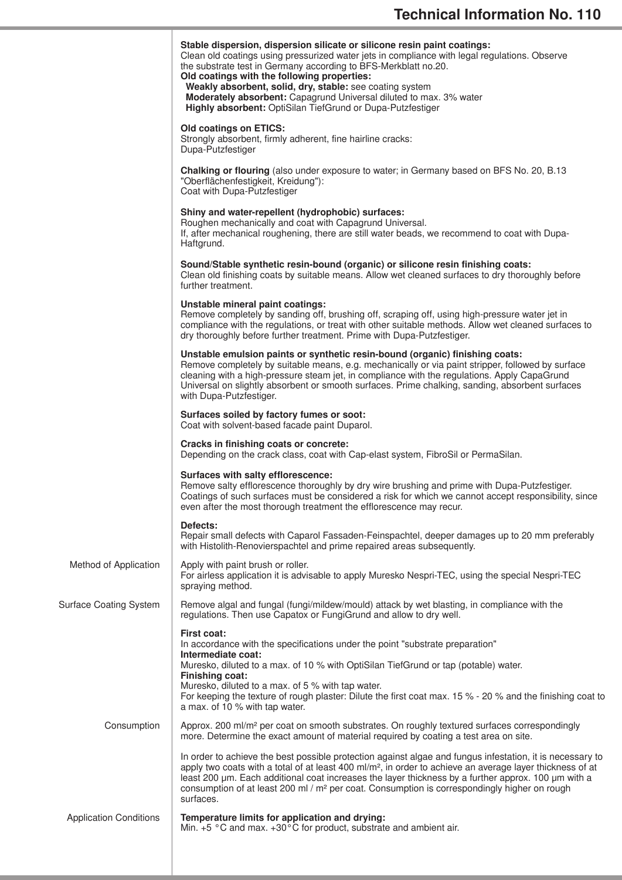|                               | Stable dispersion, dispersion silicate or silicone resin paint coatings:<br>Clean old coatings using pressurized water jets in compliance with legal regulations. Observe<br>the substrate test in Germany according to BFS-Merkblatt no.20.<br>Old coatings with the following properties:<br>Weakly absorbent, solid, dry, stable: see coating system<br>Moderately absorbent: Capagrund Universal diluted to max. 3% water<br>Highly absorbent: OptiSilan TiefGrund or Dupa-Putzfestiger |
|-------------------------------|---------------------------------------------------------------------------------------------------------------------------------------------------------------------------------------------------------------------------------------------------------------------------------------------------------------------------------------------------------------------------------------------------------------------------------------------------------------------------------------------|
|                               | <b>Old coatings on ETICS:</b><br>Strongly absorbent, firmly adherent, fine hairline cracks:<br>Dupa-Putzfestiger                                                                                                                                                                                                                                                                                                                                                                            |
|                               | Chalking or flouring (also under exposure to water; in Germany based on BFS No. 20, B.13<br>"Oberflächenfestigkeit, Kreidung"):<br>Coat with Dupa-Putzfestiger                                                                                                                                                                                                                                                                                                                              |
|                               | Shiny and water-repellent (hydrophobic) surfaces:<br>Roughen mechanically and coat with Capagrund Universal.<br>If, after mechanical roughening, there are still water beads, we recommend to coat with Dupa-<br>Haftgrund.                                                                                                                                                                                                                                                                 |
|                               | Sound/Stable synthetic resin-bound (organic) or silicone resin finishing coats:<br>Clean old finishing coats by suitable means. Allow wet cleaned surfaces to dry thoroughly before<br>further treatment.                                                                                                                                                                                                                                                                                   |
|                               | Unstable mineral paint coatings:<br>Remove completely by sanding off, brushing off, scraping off, using high-pressure water jet in<br>compliance with the regulations, or treat with other suitable methods. Allow wet cleaned surfaces to<br>dry thoroughly before further treatment. Prime with Dupa-Putzfestiger.                                                                                                                                                                        |
|                               | Unstable emulsion paints or synthetic resin-bound (organic) finishing coats:<br>Remove completely by suitable means, e.g. mechanically or via paint stripper, followed by surface<br>cleaning with a high-pressure steam jet, in compliance with the regulations. Apply CapaGrund<br>Universal on slightly absorbent or smooth surfaces. Prime chalking, sanding, absorbent surfaces<br>with Dupa-Putzfestiger.                                                                             |
|                               | Surfaces soiled by factory fumes or soot:<br>Coat with solvent-based facade paint Duparol.                                                                                                                                                                                                                                                                                                                                                                                                  |
|                               | Cracks in finishing coats or concrete:<br>Depending on the crack class, coat with Cap-elast system, FibroSil or PermaSilan.                                                                                                                                                                                                                                                                                                                                                                 |
|                               | Surfaces with salty efflorescence:<br>Remove salty efflorescence thoroughly by dry wire brushing and prime with Dupa-Putzfestiger.<br>Coatings of such surfaces must be considered a risk for which we cannot accept responsibility, since<br>even after the most thorough treatment the efflorescence may recur.                                                                                                                                                                           |
|                               | Defects:<br>Repair small defects with Caparol Fassaden-Feinspachtel, deeper damages up to 20 mm preferably<br>with Histolith-Renovierspachtel and prime repaired areas subsequently.                                                                                                                                                                                                                                                                                                        |
| Method of Application         | Apply with paint brush or roller.<br>For airless application it is advisable to apply Muresko Nespri-TEC, using the special Nespri-TEC<br>spraying method.                                                                                                                                                                                                                                                                                                                                  |
| <b>Surface Coating System</b> | Remove algal and fungal (fungi/mildew/mould) attack by wet blasting, in compliance with the<br>regulations. Then use Capatox or FungiGrund and allow to dry well.                                                                                                                                                                                                                                                                                                                           |
|                               | First coat:<br>In accordance with the specifications under the point "substrate preparation"<br>Intermediate coat:<br>Muresko, diluted to a max. of 10 % with OptiSilan TiefGrund or tap (potable) water.                                                                                                                                                                                                                                                                                   |
|                               | <b>Finishing coat:</b><br>Muresko, diluted to a max. of 5 % with tap water.<br>For keeping the texture of rough plaster: Dilute the first coat max. 15 % - 20 % and the finishing coat to<br>a max. of 10 % with tap water.                                                                                                                                                                                                                                                                 |
| Consumption                   | Approx. 200 ml/m <sup>2</sup> per coat on smooth substrates. On roughly textured surfaces correspondingly<br>more. Determine the exact amount of material required by coating a test area on site.                                                                                                                                                                                                                                                                                          |
|                               | In order to achieve the best possible protection against algae and fungus infestation, it is necessary to<br>apply two coats with a total of at least 400 ml/m <sup>2</sup> , in order to achieve an average layer thickness of at<br>least 200 µm. Each additional coat increases the layer thickness by a further approx. 100 µm with a<br>consumption of at least 200 ml / m <sup>2</sup> per coat. Consumption is correspondingly higher on rough<br>surfaces.                          |
| <b>Application Conditions</b> | Temperature limits for application and drying:<br>Min. $+5$ °C and max. $+30$ °C for product, substrate and ambient air.                                                                                                                                                                                                                                                                                                                                                                    |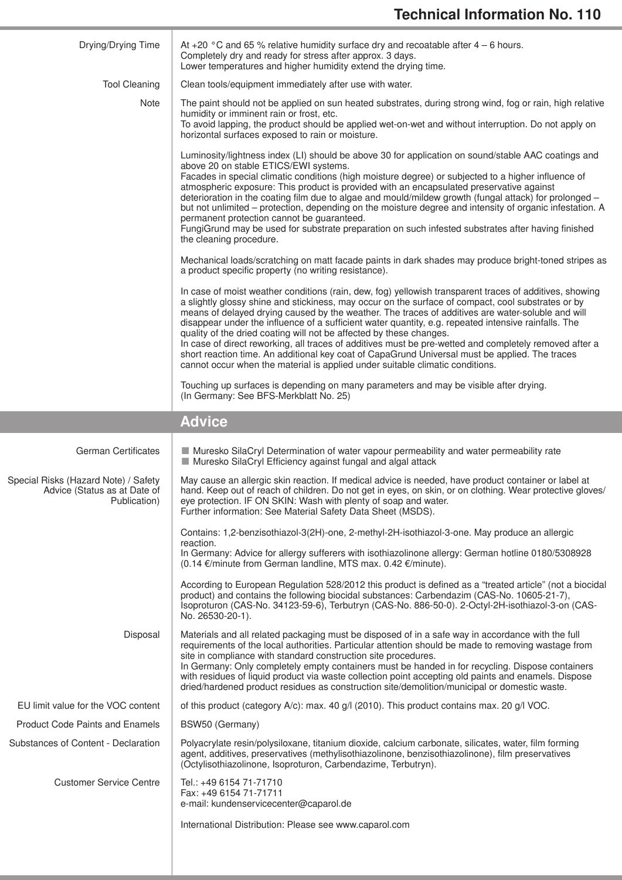| Drying/Drying Time                                                                   | At +20 $\degree$ C and 65 % relative humidity surface dry and recoatable after 4 – 6 hours.<br>Completely dry and ready for stress after approx. 3 days.<br>Lower temperatures and higher humidity extend the drying time.                                                                                                                                                                                                                                                                                                                                                                                                                                                                                                                                                                     |
|--------------------------------------------------------------------------------------|------------------------------------------------------------------------------------------------------------------------------------------------------------------------------------------------------------------------------------------------------------------------------------------------------------------------------------------------------------------------------------------------------------------------------------------------------------------------------------------------------------------------------------------------------------------------------------------------------------------------------------------------------------------------------------------------------------------------------------------------------------------------------------------------|
| <b>Tool Cleaning</b>                                                                 | Clean tools/equipment immediately after use with water.                                                                                                                                                                                                                                                                                                                                                                                                                                                                                                                                                                                                                                                                                                                                        |
| Note                                                                                 | The paint should not be applied on sun heated substrates, during strong wind, fog or rain, high relative<br>humidity or imminent rain or frost, etc.<br>To avoid lapping, the product should be applied wet-on-wet and without interruption. Do not apply on<br>horizontal surfaces exposed to rain or moisture.                                                                                                                                                                                                                                                                                                                                                                                                                                                                               |
|                                                                                      | Luminosity/lightness index (LI) should be above 30 for application on sound/stable AAC coatings and<br>above 20 on stable ETICS/EWI systems.<br>Facades in special climatic conditions (high moisture degree) or subjected to a higher influence of<br>atmospheric exposure: This product is provided with an encapsulated preservative against<br>deterioration in the coating film due to algae and mould/mildew growth (fungal attack) for prolonged -<br>but not unlimited - protection, depending on the moisture degree and intensity of organic infestation. A<br>permanent protection cannot be guaranteed.<br>FungiGrund may be used for substrate preparation on such infested substrates after having finished<br>the cleaning procedure.                                           |
|                                                                                      | Mechanical loads/scratching on matt facade paints in dark shades may produce bright-toned stripes as<br>a product specific property (no writing resistance).                                                                                                                                                                                                                                                                                                                                                                                                                                                                                                                                                                                                                                   |
|                                                                                      | In case of moist weather conditions (rain, dew, fog) yellowish transparent traces of additives, showing<br>a slightly glossy shine and stickiness, may occur on the surface of compact, cool substrates or by<br>means of delayed drying caused by the weather. The traces of additives are water-soluble and will<br>disappear under the influence of a sufficient water quantity, e.g. repeated intensive rainfalls. The<br>quality of the dried coating will not be affected by these changes.<br>In case of direct reworking, all traces of additives must be pre-wetted and completely removed after a<br>short reaction time. An additional key coat of CapaGrund Universal must be applied. The traces<br>cannot occur when the material is applied under suitable climatic conditions. |
|                                                                                      | Touching up surfaces is depending on many parameters and may be visible after drying.<br>(In Germany: See BFS-Merkblatt No. 25)                                                                                                                                                                                                                                                                                                                                                                                                                                                                                                                                                                                                                                                                |
|                                                                                      |                                                                                                                                                                                                                                                                                                                                                                                                                                                                                                                                                                                                                                                                                                                                                                                                |
|                                                                                      | <b>Advice</b>                                                                                                                                                                                                                                                                                                                                                                                                                                                                                                                                                                                                                                                                                                                                                                                  |
| <b>German Certificates</b>                                                           | Muresko SilaCryl Determination of water vapour permeability and water permeability rate<br>Muresko SilaCryl Efficiency against fungal and algal attack                                                                                                                                                                                                                                                                                                                                                                                                                                                                                                                                                                                                                                         |
| Special Risks (Hazard Note) / Safety<br>Advice (Status as at Date of<br>Publication) | May cause an allergic skin reaction. If medical advice is needed, have product container or label at<br>hand. Keep out of reach of children. Do not get in eyes, on skin, or on clothing. Wear protective gloves/<br>eye protection. IF ON SKIN: Wash with plenty of soap and water.<br>Further information: See Material Safety Data Sheet (MSDS).                                                                                                                                                                                                                                                                                                                                                                                                                                            |
|                                                                                      | Contains: 1,2-benzisothiazol-3(2H)-one, 2-methyl-2H-isothiazol-3-one. May produce an allergic                                                                                                                                                                                                                                                                                                                                                                                                                                                                                                                                                                                                                                                                                                  |
|                                                                                      | reaction.<br>In Germany: Advice for allergy sufferers with isothiazolinone allergy: German hotline 0180/5308928<br>(0.14 €/minute from German landline, MTS max. 0.42 €/minute).                                                                                                                                                                                                                                                                                                                                                                                                                                                                                                                                                                                                               |
|                                                                                      | According to European Regulation 528/2012 this product is defined as a "treated article" (not a biocidal<br>product) and contains the following biocidal substances: Carbendazim (CAS-No. 10605-21-7),<br>Isoproturon (CAS-No. 34123-59-6), Terbutryn (CAS-No. 886-50-0). 2-Octyl-2H-isothiazol-3-on (CAS-<br>No. 26530-20-1).                                                                                                                                                                                                                                                                                                                                                                                                                                                                 |
| Disposal                                                                             | Materials and all related packaging must be disposed of in a safe way in accordance with the full<br>requirements of the local authorities. Particular attention should be made to removing wastage from<br>site in compliance with standard construction site procedures.<br>In Germany: Only completely empty containers must be handed in for recycling. Dispose containers<br>with residues of liquid product via waste collection point accepting old paints and enamels. Dispose<br>dried/hardened product residues as construction site/demolition/municipal or domestic waste.                                                                                                                                                                                                         |
| EU limit value for the VOC content                                                   | of this product (category A/c): max. 40 g/l (2010). This product contains max. 20 g/l VOC.                                                                                                                                                                                                                                                                                                                                                                                                                                                                                                                                                                                                                                                                                                     |
| <b>Product Code Paints and Enamels</b>                                               | BSW50 (Germany)                                                                                                                                                                                                                                                                                                                                                                                                                                                                                                                                                                                                                                                                                                                                                                                |
| Substances of Content - Declaration                                                  | Polyacrylate resin/polysiloxane, titanium dioxide, calcium carbonate, silicates, water, film forming<br>agent, additives, preservatives (methylisothiazolinone, benzisothiazolinone), film preservatives<br>(Octylisothiazolinone, Isoproturon, Carbendazime, Terbutryn).                                                                                                                                                                                                                                                                                                                                                                                                                                                                                                                      |